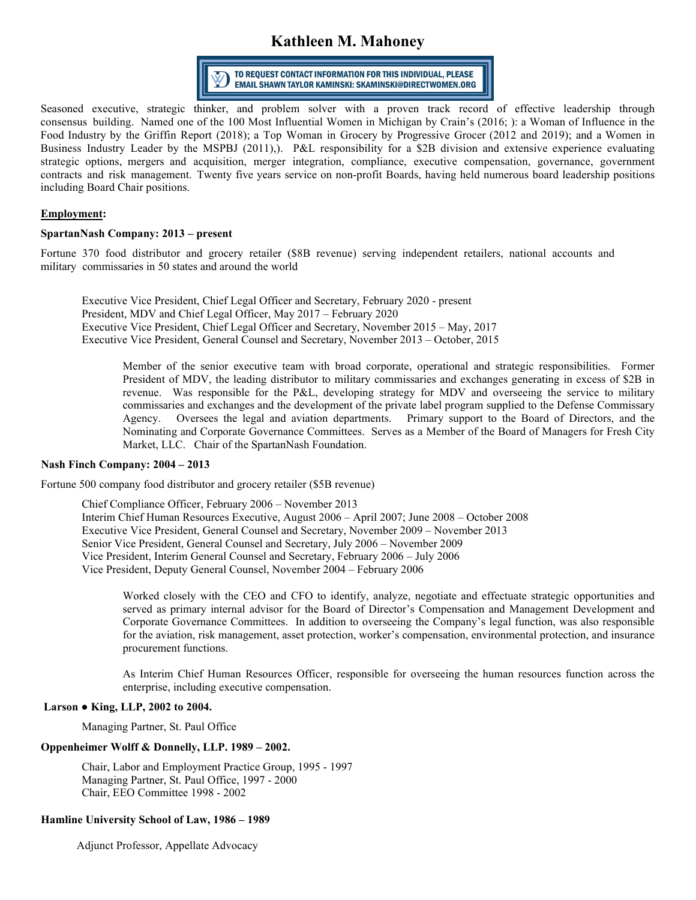# **Kathleen M. Mahoney**



Seasoned executive, strategic thinker, and [problem solver with a pro](mailto:kathleen.mahoney@spartannash.com)ven track record of effective leadership through consensus building. Named one of the 100 Most Influential Women in Michigan by Crain's (2016; ): a Woman of Influence in the Food Industry by the Griffin Report (2018); a Top Woman in Grocery by Progressive Grocer (2012 and 2019); and a Women in Business Industry Leader by the MSPBJ (2011),). P&L responsibility for a \$2B division and extensive experience evaluating strategic options, mergers and acquisition, merger integration, compliance, executive compensation, governance, government contracts and risk management. Twenty five years service on non-profit Boards, having held numerous board leadership positions including Board Chair positions.

## **Employment:**

#### **SpartanNash Company: 2013 – present**

Fortune 370 food distributor and grocery retailer (\$8B revenue) serving independent retailers, national accounts and military commissaries in 50 states and around the world

Executive Vice President, Chief Legal Officer and Secretary, February 2020 - present President, MDV and Chief Legal Officer, May 2017 – February 2020 Executive Vice President, Chief Legal Officer and Secretary, November 2015 – May, 2017 Executive Vice President, General Counsel and Secretary, November 2013 – October, 2015

Member of the senior executive team with broad corporate, operational and strategic responsibilities. Former President of MDV, the leading distributor to military commissaries and exchanges generating in excess of \$2B in revenue. Was responsible for the P&L, developing strategy for MDV and overseeing the service to military commissaries and exchanges and the development of the private label program supplied to the Defense Commissary Agency. Oversees the legal and aviation departments. Primary support to the Board of Directors, and the Nominating and Corporate Governance Committees. Serves as a Member of the Board of Managers for Fresh City Market, LLC. Chair of the SpartanNash Foundation.

## **Nash Finch Company: 2004 – 2013**

Fortune 500 company food distributor and grocery retailer (\$5B revenue)

Chief Compliance Officer, February 2006 – November 2013 Interim Chief Human Resources Executive, August 2006 – April 2007; June 2008 – October 2008 Executive Vice President, General Counsel and Secretary, November 2009 – November 2013 Senior Vice President, General Counsel and Secretary, July 2006 – November 2009 Vice President, Interim General Counsel and Secretary, February 2006 – July 2006 Vice President, Deputy General Counsel, November 2004 – February 2006

Worked closely with the CEO and CFO to identify, analyze, negotiate and effectuate strategic opportunities and served as primary internal advisor for the Board of Director's Compensation and Management Development and Corporate Governance Committees. In addition to overseeing the Company's legal function, was also responsible for the aviation, risk management, asset protection, worker's compensation, environmental protection, and insurance procurement functions.

As Interim Chief Human Resources Officer, responsible for overseeing the human resources function across the enterprise, including executive compensation.

## **Larson ● King, LLP, 2002 to 2004.**

Managing Partner, St. Paul Office

#### **Oppenheimer Wolff & Donnelly, LLP. 1989 – 2002.**

Chair, Labor and Employment Practice Group, 1995 - 1997 Managing Partner, St. Paul Office, 1997 - 2000 Chair, EEO Committee 1998 - 2002

## **Hamline University School of Law, 1986 – 1989**

Adjunct Professor, Appellate Advocacy